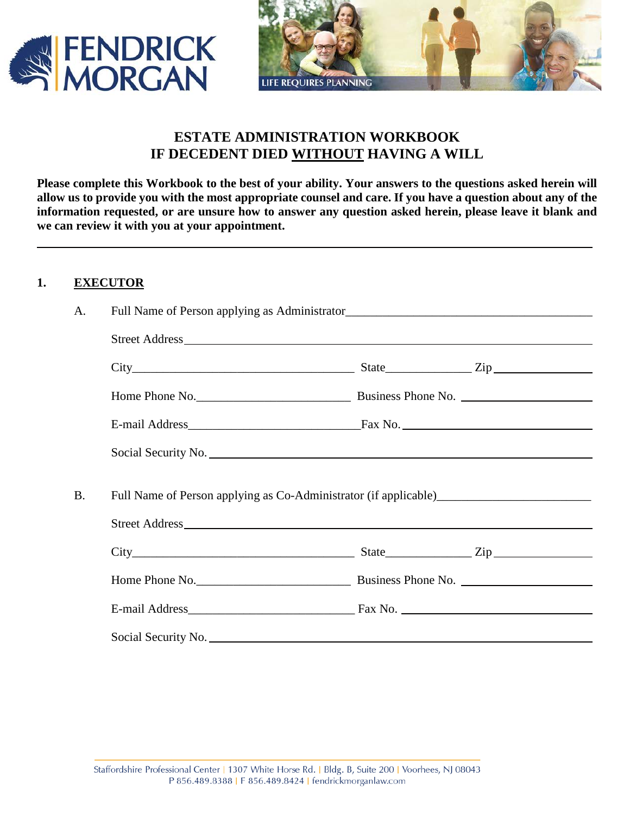



# **ESTATE ADMINISTRATION WORKBOOK IF DECEDENT DIED WITHOUT HAVING A WILL**

**Please complete this Workbook to the best of your ability. Your answers to the questions asked herein will allow us to provide you with the most appropriate counsel and care. If you have a question about any of the information requested, or are unsure how to answer any question asked herein, please leave it blank and we can review it with you at your appointment.** 

## **1. EXECUTOR**

| A.        |                     |  |
|-----------|---------------------|--|
|           |                     |  |
|           | $City$ $City$ $Zip$ |  |
|           |                     |  |
|           |                     |  |
|           |                     |  |
|           |                     |  |
| <b>B.</b> |                     |  |
|           |                     |  |
|           | $City$ $City$ $Zip$ |  |
|           |                     |  |
|           |                     |  |
|           |                     |  |
|           |                     |  |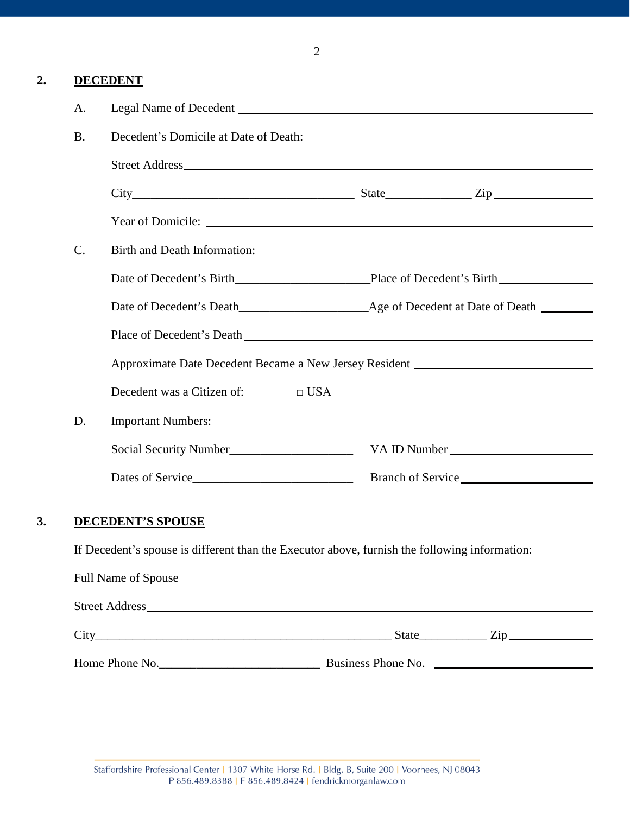2

## **2. DECEDENT**

| A.                                                                                            |                                                                                   |                          |                                                                                                                                                                                                                                                    |  |  |
|-----------------------------------------------------------------------------------------------|-----------------------------------------------------------------------------------|--------------------------|----------------------------------------------------------------------------------------------------------------------------------------------------------------------------------------------------------------------------------------------------|--|--|
| <b>B.</b>                                                                                     | Decedent's Domicile at Date of Death:                                             |                          |                                                                                                                                                                                                                                                    |  |  |
|                                                                                               |                                                                                   |                          |                                                                                                                                                                                                                                                    |  |  |
|                                                                                               |                                                                                   |                          |                                                                                                                                                                                                                                                    |  |  |
|                                                                                               |                                                                                   |                          |                                                                                                                                                                                                                                                    |  |  |
| C.                                                                                            | Birth and Death Information:                                                      |                          |                                                                                                                                                                                                                                                    |  |  |
|                                                                                               |                                                                                   |                          |                                                                                                                                                                                                                                                    |  |  |
|                                                                                               |                                                                                   |                          |                                                                                                                                                                                                                                                    |  |  |
|                                                                                               |                                                                                   |                          |                                                                                                                                                                                                                                                    |  |  |
|                                                                                               | Approximate Date Decedent Became a New Jersey Resident __________________________ |                          |                                                                                                                                                                                                                                                    |  |  |
|                                                                                               | Decedent was a Citizen of: $\square$ USA                                          |                          | <u> 1989 - Johann Stein, mars an deutscher Stein und der Stein und der Stein und der Stein und der Stein und der</u>                                                                                                                               |  |  |
| D.                                                                                            | <b>Important Numbers:</b>                                                         |                          |                                                                                                                                                                                                                                                    |  |  |
|                                                                                               |                                                                                   |                          | VA ID Number                                                                                                                                                                                                                                       |  |  |
|                                                                                               |                                                                                   |                          |                                                                                                                                                                                                                                                    |  |  |
|                                                                                               |                                                                                   |                          |                                                                                                                                                                                                                                                    |  |  |
|                                                                                               |                                                                                   |                          |                                                                                                                                                                                                                                                    |  |  |
| If Decedent's spouse is different than the Executor above, furnish the following information: |                                                                                   |                          |                                                                                                                                                                                                                                                    |  |  |
|                                                                                               |                                                                                   |                          |                                                                                                                                                                                                                                                    |  |  |
|                                                                                               |                                                                                   |                          |                                                                                                                                                                                                                                                    |  |  |
|                                                                                               |                                                                                   |                          |                                                                                                                                                                                                                                                    |  |  |
|                                                                                               |                                                                                   | <b>DECEDENT'S SPOUSE</b> | Place of Decedent's Death Learner and Secretary and Secretary and Secretary and Secretary and Secretary and Secretary and Secretary and Secretary and Secretary and Secretary and Secretary and Secretary and Secretary and Se<br>Dates of Service |  |  |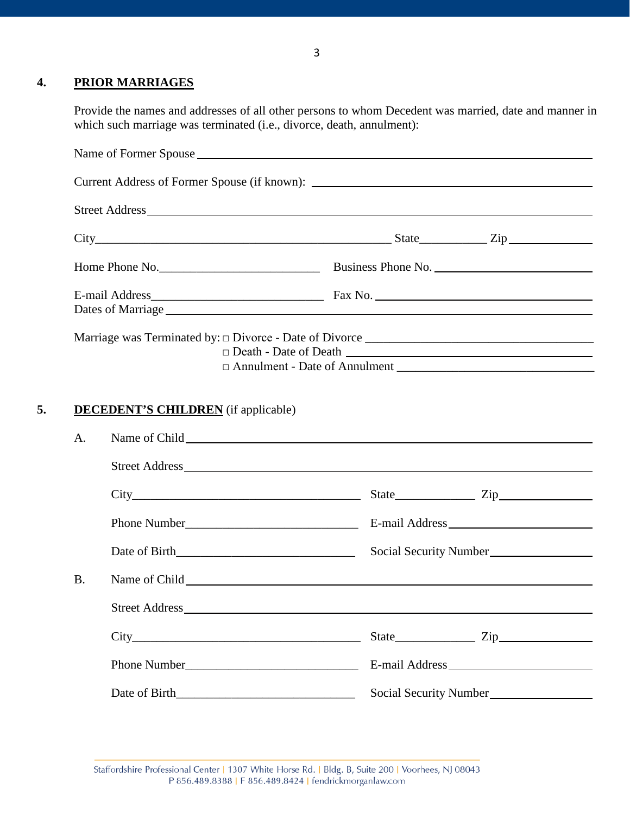## **4. PRIOR MARRIAGES**

Provide the names and addresses of all other persons to whom Decedent was married, date and manner in which such marriage was terminated (i.e., divorce, death, annulment):

|                 |              | $City$ $City$ $Zip$ $Zip$           |
|-----------------|--------------|-------------------------------------|
|                 |              |                                     |
|                 |              |                                     |
|                 |              | $\Box$ Death - Date of Death $\Box$ |
|                 |              |                                     |
|                 |              |                                     |
|                 |              | Street Address                      |
|                 |              | $City$ $City$ $Zip$ $Type$          |
|                 |              |                                     |
|                 |              |                                     |
|                 |              |                                     |
|                 |              |                                     |
|                 |              |                                     |
| A.<br><b>B.</b> | Phone Number |                                     |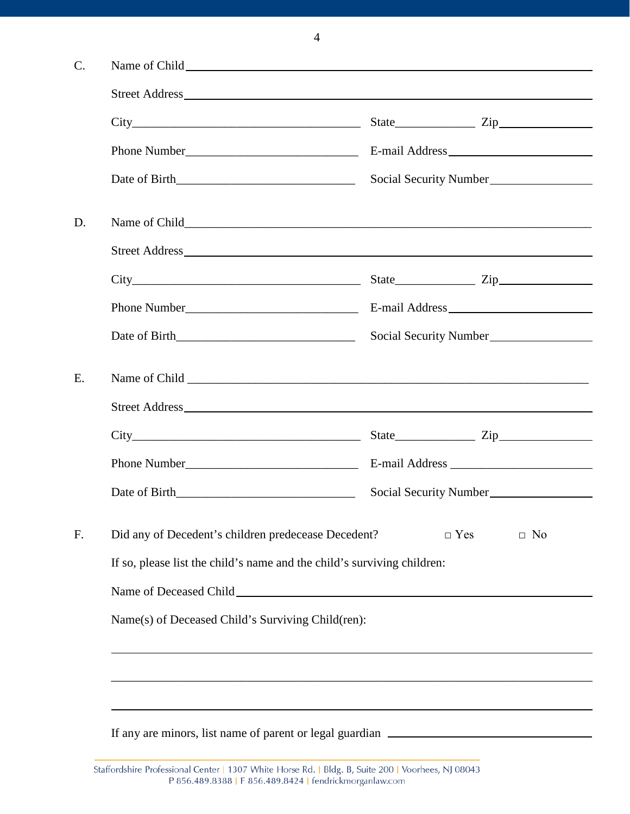|    |                                                                         |                        |            | Social Security Number |  |  |
|----|-------------------------------------------------------------------------|------------------------|------------|------------------------|--|--|
| D. |                                                                         |                        |            |                        |  |  |
|    |                                                                         |                        |            |                        |  |  |
|    | $City$ $Zip$ $Zip$                                                      |                        |            |                        |  |  |
|    |                                                                         |                        |            |                        |  |  |
|    |                                                                         | Social Security Number |            |                        |  |  |
|    |                                                                         |                        |            |                        |  |  |
|    |                                                                         |                        |            |                        |  |  |
|    |                                                                         |                        |            | $State$ $Zip$          |  |  |
|    |                                                                         |                        |            |                        |  |  |
|    |                                                                         |                        |            | Social Security Number |  |  |
|    | Did any of Decedent's children predecease Decedent?                     |                        | $\Box$ Yes | $\Box$ No              |  |  |
|    | If so, please list the child's name and the child's surviving children: |                        |            |                        |  |  |
|    |                                                                         |                        |            |                        |  |  |
|    | Name(s) of Deceased Child's Surviving Child(ren):                       |                        |            |                        |  |  |
|    |                                                                         |                        |            |                        |  |  |
|    |                                                                         |                        |            |                        |  |  |
|    |                                                                         |                        |            |                        |  |  |
|    |                                                                         |                        |            |                        |  |  |

4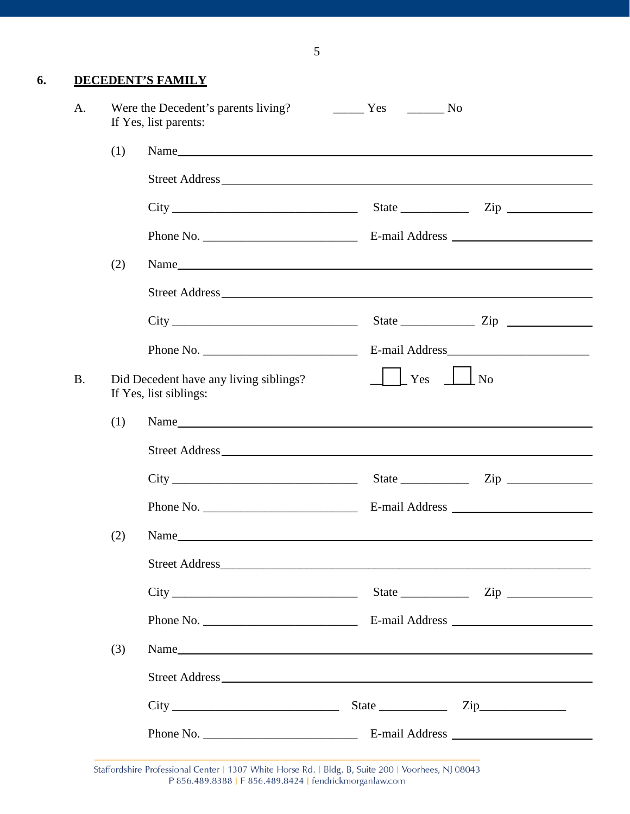## **6. DECEDENT'S FAMILY**

| A.        |     | Were the Decedent's parents living? No No No No<br>If Yes, list parents:                                                                                                                                                      |                                |                                                                                                                                                                                                                                                                                                                                                                    |
|-----------|-----|-------------------------------------------------------------------------------------------------------------------------------------------------------------------------------------------------------------------------------|--------------------------------|--------------------------------------------------------------------------------------------------------------------------------------------------------------------------------------------------------------------------------------------------------------------------------------------------------------------------------------------------------------------|
|           | (1) |                                                                                                                                                                                                                               |                                |                                                                                                                                                                                                                                                                                                                                                                    |
|           |     |                                                                                                                                                                                                                               |                                |                                                                                                                                                                                                                                                                                                                                                                    |
|           |     |                                                                                                                                                                                                                               |                                |                                                                                                                                                                                                                                                                                                                                                                    |
|           |     |                                                                                                                                                                                                                               |                                |                                                                                                                                                                                                                                                                                                                                                                    |
|           | (2) |                                                                                                                                                                                                                               |                                |                                                                                                                                                                                                                                                                                                                                                                    |
|           |     |                                                                                                                                                                                                                               |                                |                                                                                                                                                                                                                                                                                                                                                                    |
|           |     |                                                                                                                                                                                                                               |                                | State $\frac{1}{\sqrt{2}}$ $\frac{1}{\sqrt{2}}$ $\frac{1}{\sqrt{2}}$ $\frac{1}{\sqrt{2}}$ $\frac{1}{\sqrt{2}}$ $\frac{1}{\sqrt{2}}$ $\frac{1}{\sqrt{2}}$ $\frac{1}{\sqrt{2}}$ $\frac{1}{\sqrt{2}}$ $\frac{1}{\sqrt{2}}$ $\frac{1}{\sqrt{2}}$ $\frac{1}{\sqrt{2}}$ $\frac{1}{\sqrt{2}}$ $\frac{1}{\sqrt{2}}$ $\frac{1}{\sqrt{2}}$ $\frac{1}{\sqrt{2}}$ $\frac{1}{\$ |
|           |     | Phone No. $\qquad \qquad$                                                                                                                                                                                                     |                                |                                                                                                                                                                                                                                                                                                                                                                    |
| <b>B.</b> |     | Did Decedent have any living siblings?<br>If Yes, list siblings:                                                                                                                                                              | $\perp$ $\perp$ Yes $\perp$ No |                                                                                                                                                                                                                                                                                                                                                                    |
|           | (1) |                                                                                                                                                                                                                               |                                |                                                                                                                                                                                                                                                                                                                                                                    |
|           |     |                                                                                                                                                                                                                               |                                |                                                                                                                                                                                                                                                                                                                                                                    |
|           |     | $City$ $Zip$ $Zip$                                                                                                                                                                                                            |                                |                                                                                                                                                                                                                                                                                                                                                                    |
|           |     |                                                                                                                                                                                                                               |                                |                                                                                                                                                                                                                                                                                                                                                                    |
|           | (2) | Name has been a series of the contract of the contract of the contract of the contract of the contract of the contract of the contract of the contract of the contract of the contract of the contract of the contract of the |                                |                                                                                                                                                                                                                                                                                                                                                                    |
|           |     |                                                                                                                                                                                                                               |                                |                                                                                                                                                                                                                                                                                                                                                                    |
|           |     |                                                                                                                                                                                                                               |                                |                                                                                                                                                                                                                                                                                                                                                                    |
|           |     |                                                                                                                                                                                                                               |                                |                                                                                                                                                                                                                                                                                                                                                                    |
|           | (3) | Name                                                                                                                                                                                                                          |                                |                                                                                                                                                                                                                                                                                                                                                                    |
|           |     |                                                                                                                                                                                                                               |                                |                                                                                                                                                                                                                                                                                                                                                                    |
|           |     |                                                                                                                                                                                                                               |                                |                                                                                                                                                                                                                                                                                                                                                                    |
|           |     |                                                                                                                                                                                                                               |                                |                                                                                                                                                                                                                                                                                                                                                                    |

Staffordshire Professional Center | 1307 White Horse Rd. | Bldg. B, Suite 200 | Voorhees, NJ 08043 P 856.489.8388 | F 856.489.8424 | fendrickmorganlaw.com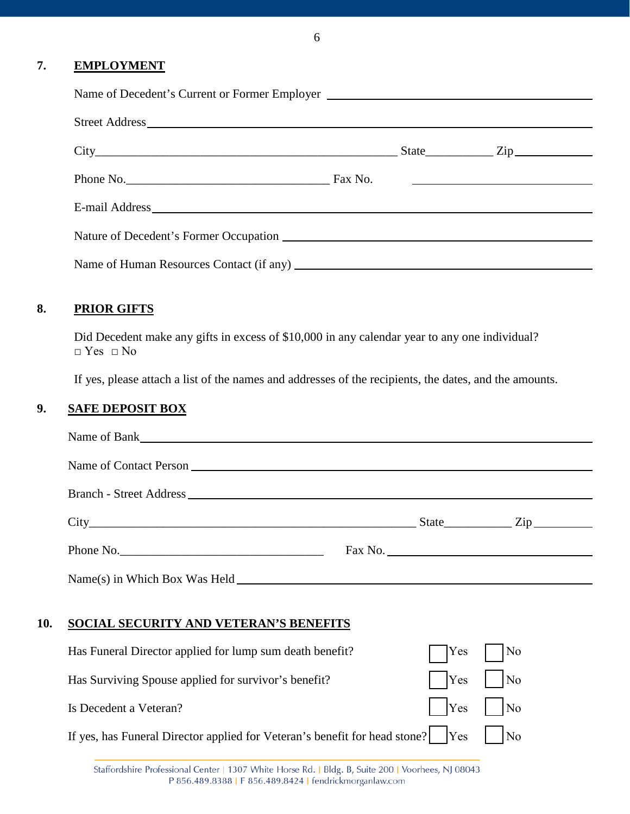#### **7. EMPLOYMENT**

| Name of Decedent's Current or Former Employer |  |  |
|-----------------------------------------------|--|--|
|                                               |  |  |
| $City$ $City$ $Zip$                           |  |  |
|                                               |  |  |
|                                               |  |  |
|                                               |  |  |
|                                               |  |  |

## **8. PRIOR GIFTS**

Did Decedent make any gifts in excess of \$10,000 in any calendar year to any one individual? □ Yes □ No

If yes, please attach a list of the names and addresses of the recipients, the dates, and the amounts.

# **9. SAFE DEPOSIT BOX**

|     | $City$ $City$ $Zip$                                                              |            |         |  |
|-----|----------------------------------------------------------------------------------|------------|---------|--|
|     | Phone No.                                                                        |            | Fax No. |  |
|     | Name(s) in Which Box Was Held                                                    |            |         |  |
| 10. | SOCIAL SECURITY AND VETERAN'S BENEFITS                                           |            |         |  |
|     | Has Funeral Director applied for lump sum death benefit?                         | <b>Yes</b> | No      |  |
|     | Has Surviving Spouse applied for survivor's benefit?                             | <b>Yes</b> | No      |  |
|     | Is Decedent a Veteran?                                                           | <b>Yes</b> | No      |  |
|     | If yes, has Funeral Director applied for Veteran's benefit for head stone?   Yes |            | No      |  |

6